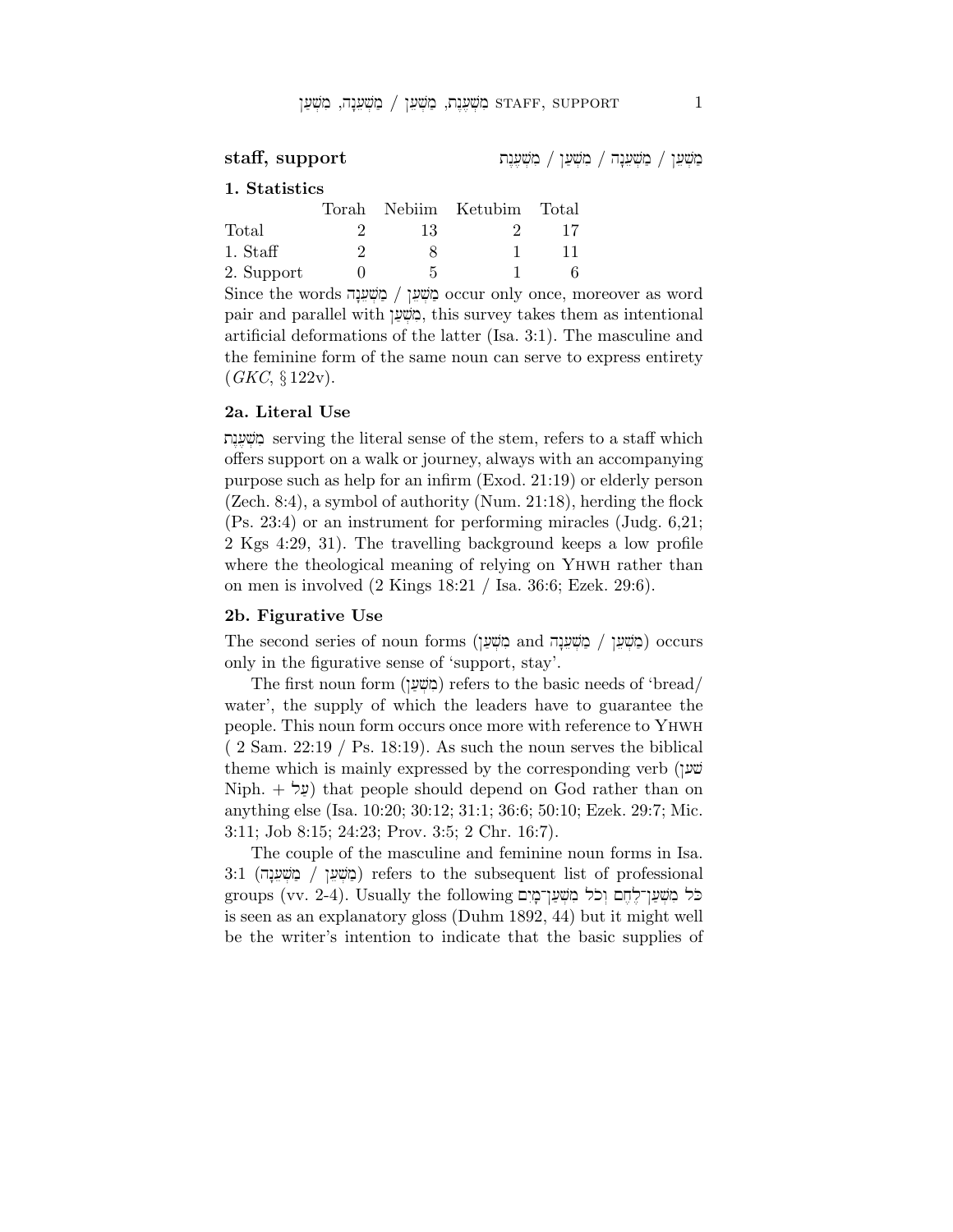$\text{staff, support} \hspace{25pt}$  מַשְׁעֵן / מְשָׁעֲרָה / מִשְׁעֲרָח

## 1. Statistics

|            |    | Torah Nebiim Ketubim Total |    |
|------------|----|----------------------------|----|
| Total      | 13 |                            | 17 |
| 1. Staff   |    |                            | 11 |
| 2. Support | 5  |                            |    |

Since the words hn:[ev]m' / ˆ[ev]m' occur only once, moreover as word pair and parallel with ˆ['v]mi, this survey takes them as intentional artificial deformations of the latter (Isa. 3:1). The masculine and the feminine form of the same noun can serve to express entirety  $(GKC, \S 122v).$ 

## 2a. Literal Use

tn<[,v]mi serving the literal sense of the stem, refers to a staff which offers support on a walk or journey, always with an accompanying purpose such as help for an infirm (Exod. 21:19) or elderly person (Zech. 8:4), a symbol of authority (Num. 21:18), herding the flock (Ps. 23:4) or an instrument for performing miracles (Judg. 6,21; 2 Kgs 4:29, 31). The travelling background keeps a low profile where the theological meaning of relying on YHWH rather than on men is involved (2 Kings 18:21 / Isa. 36:6; Ezek. 29:6).

### 2b. Figurative Use

The second series of noun forms (בְּוֹשָׁעֲךָ and מְשִׁעֲךָ / כַּוֹשָׁעֲךָ / כַוֹשִׁעֲ only in the figurative sense of 'support, stay'.

The first noun form (מִשְׁעַן) refers to the basic needs of 'bread/ water', the supply of which the leaders have to guarantee the people. This noun form occurs once more with reference to Yhwh  $(2 \text{ Sam. } 22:19 / \text{Ps. } 18:19)$ . As such the noun serves the biblical theme which is mainly expressed by the corresponding verb  $($ v Niph.  $+$  ( $\psi$ ) that people should depend on God rather than on anything else (Isa. 10:20; 30:12; 31:1; 36:6; 50:10; Ezek. 29:7; Mic. 3:11; Job 8:15; 24:23; Prov. 3:5; 2 Chr. 16:7).

The couple of the masculine and feminine noun forms in Isa. 3:1 (מֹשׁען / מֹשׁען refers to the subsequent list of professional groups (vv. 2-4). Usually the following כֹּל מְשָׁעֲן־לֶחֶם וְכֹל מְשָׁעַן־מָיִם is seen as an explanatory gloss (Duhm 1892, 44) but it might well be the writer's intention to indicate that the basic supplies of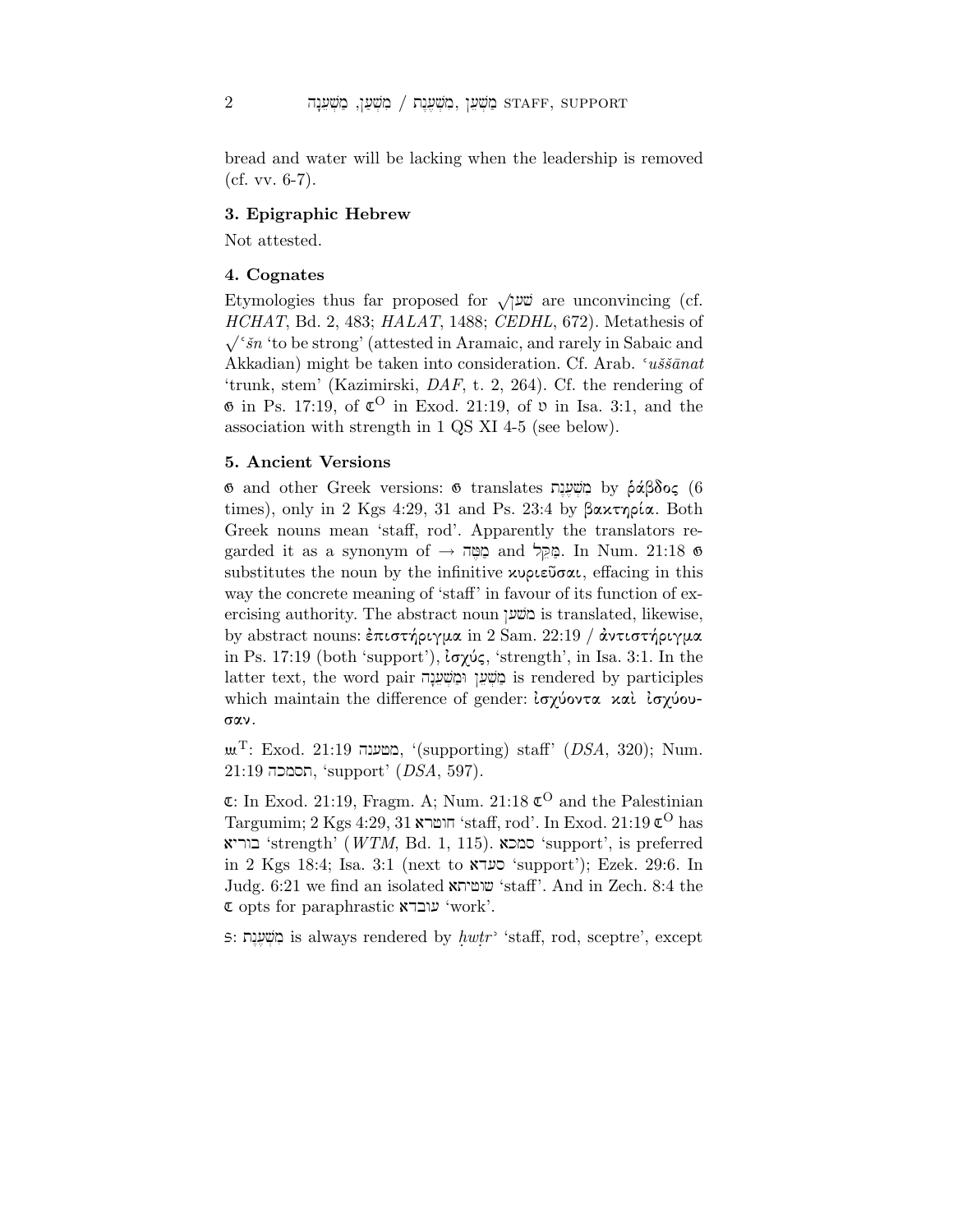bread and water will be lacking when the leadership is removed  $(cf. vv. 6-7).$ 

# 3. Epigraphic Hebrew

Not attested.

# 4. Cognates

Etymologies thus far proposed for  $\sqrt{ }$  are unconvincing (cf.  $HCHAT$ , Bd. 2, 483;  $HALAT$ , 1488;  $CEDHL$ , 672). Metathesis of  $\sqrt{\sin$  'to be strong' (attested in Aramaic, and rarely in Sabaic and Akkadian) might be taken into consideration. Cf. Arab.  $\alpha$ iss $\bar{a}$ nat 'trunk, stem' (Kazimirski, DAF, t. 2, 264). Cf. the rendering of  $\Phi$  in Ps. 17:19, of  $\mathfrak{C}^{\bullet}$  in Exod. 21:19, of  $\mathfrak{v}$  in Isa. 3:1, and the association with strength in 1 QS XI 4-5 (see below).

## 5. Ancient Versions

ັອ and other Greek versions: אוֹשְׁעֲנֶת by ράβδος (6 times), only in 2 Kgs 4:29, 31 and Ps. 23:4 by  $\beta \alpha \chi \tau \eta \rho \alpha$ . Both Greek nouns mean 'staff, rod'. Apparently the translators regarded it as a synonym of  $\rightarrow$  פְּקֵל and פִּמְל. In Num. 21:18  $\sigma$ substitutes the noun by the infinitive  $x\nu\rho\epsilon\tilde{\nu}\sigma\alpha\iota$ , effacing in this way the concrete meaning of 'staff' in favour of its function of exercising authority. The abstract noun ciwa is translated, likewise, by abstract nouns: επιστήριγμα in 2 Sam. 22:19 / αντιστήριγμα in Ps. 17:19 (both 'support'),  $i\sigma\chi\omega\zeta$ , 'strength', in Isa. 3:1. In the latter text, the word pair מַשְׁעֵן וּמַשְׁעֵנָה is rendered by participles which maintain the difference of gender: ισχύοντα και ισχύουσαν.

 $\mu$ T: Exod. 21:19 במטענה, '(supporting) staff' (DSA, 320); Num.  $21:19$  חסמכה, 'support' ( $DSA$ , 597).

 $E$ : In Exod. 21:19, Fragm. A; Num. 21:18  $E^O$  and the Palestinian  $\rm{Tagumim;}$ 2 $\rm{Kgs}$ 4:29, 31 הושרא 'staff, rod'. In Exod. 21:19  $\mathfrak{C}^{\rm{O}}$  has בוריא 'strength' (WTM, Bd. 1, 115). סמכא 'support', is preferred  $i$ in 2 Kgs 18:4; Isa. 3:1 (next to  $\gamma$ support'); Ezek. 29:6. In Judg. 6:21 we find an isolated atyfwç 'staff'. And in Zech. 8:4 the  $\mathfrak c$  opts for paraphrastic  $\mathfrak v$  'work'.

יָהָעֶה is always rendered by  $\hbar w \hbar r$  'staff, rod, sceptre', except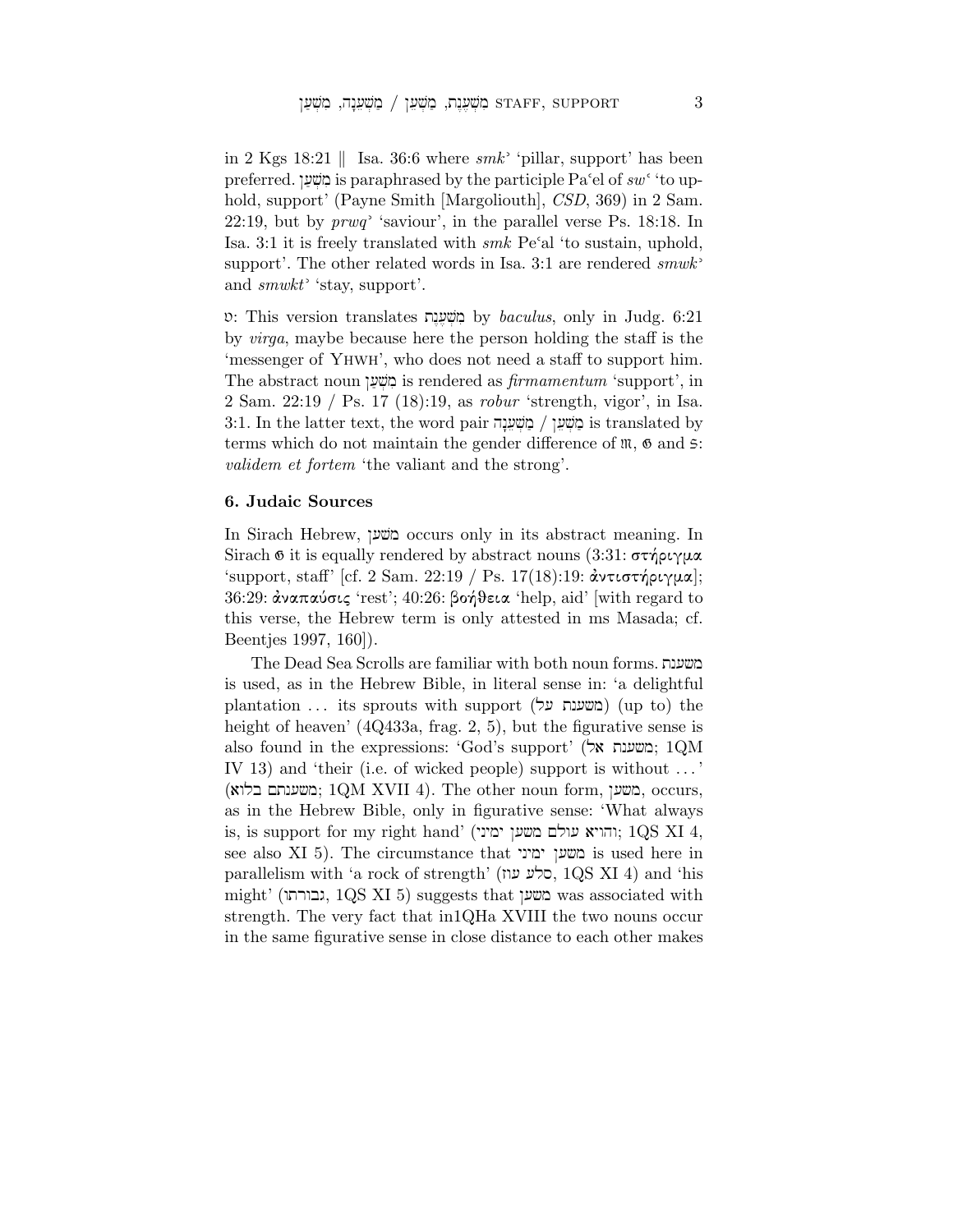in 2 Kgs 18:21 || Isa. 36:6 where  $smk$  'pillar, support' has been preferred. בְּוֹשְׁעַן is paraphrased by the participle Pa<sup> $\epsilon$ </sup>el of sw<sup> $\epsilon$ </sup> 'to uphold, support' (Payne Smith [Margoliouth], CSD, 369) in 2 Sam. 22:19, but by  $prwq$  'saviour', in the parallel verse Ps. 18:18. In Isa. 3:1 it is freely translated with  $smk$  Pe'al 'to sustain, uphold, support'. The other related words in Isa. 3:1 are rendered  $smwk$ <sup>2</sup> and  $smwkt$  'stay, support'.

 $\mathfrak{v}$ : This version translates משְׁעֲנָת by baculus, only in Judg. 6:21 by virga, maybe because here the person holding the staff is the 'messenger of Yhwh', who does not need a staff to support him. The abstract noun בוֹשׁען is rendered as firmamentum 'support', in 2 Sam. 22:19 / Ps. 17 (18):19, as robur 'strength, vigor', in Isa.  $3:1.$  In the latter text, the word pair מְשָׁעֲדָה is translated by terms which do not maintain the gender difference of  $\mathfrak{m}$ ,  $\mathfrak{G}$  and  $\mathfrak{S}$ : validem et fortem 'the valiant and the strong'.

#### 6. Judaic Sources

In Sirach Hebrew, ˆ[vm occurs only in its abstract meaning. In Sirach  $\mathfrak G$  it is equally rendered by abstract nouns (3:31:  $\sigma\tau\gamma\rho\iota\gamma\mu\alpha$ 'support, staff' [cf. 2 Sam. 22:19 / Ps. 17(18):19: αντιστήριγμα];  $36:29:$  άναπαύσις 'rest';  $40:26:$  βοήθεια 'help, aid' [with regard to this verse, the Hebrew term is only attested in ms Masada; cf. Beentjes 1997, 160]).

The Dead Sea Scrolls are familiar with both noun forms. tn[çm is used, as in the Hebrew Bible, in literal sense in: 'a delightful plantation ... its sprouts with support (משענת על) (up to) the height of heaven' (4Q433a, frag. 2, 5), but the figurative sense is also found in the expressions: 'God's support' (אל'; 1QM; 1 IV 13) and 'their (i.e. of wicked people) support is without . . . ' (משענתם בלוא; 1QM XVII 4). The other noun form, משע, occurs, as in the Hebrew Bible, only in figurative sense: 'What always is, is support for my right hand' (יהויא ימיני; 1QS XI 4, see also XI 5). The circumstance that משען ימיני $\alpha$  is used here in  $p$ arallelism with 'a rock of strength' (כלע עוז, 1QS XI 4) and 'his  $might'$  (גבורתו, 1QS XI 5) suggests that  $\sim$  was associated with strength. The very fact that in1QHa XVIII the two nouns occur in the same figurative sense in close distance to each other makes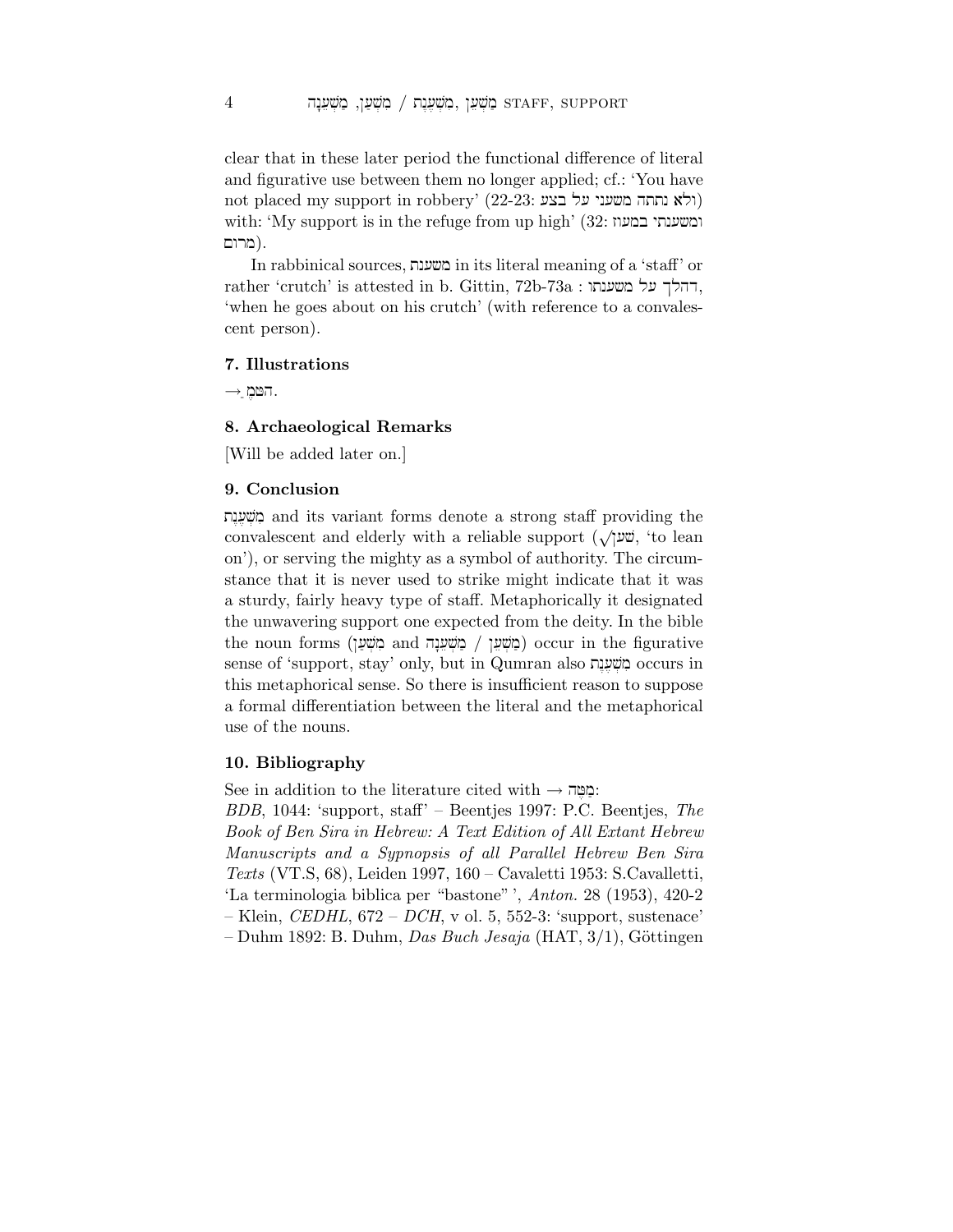clear that in these later period the functional difference of literal and figurative use between them no longer applied; cf.: 'You have not placed my support in robbery' (22-23: וולא נתחה משעני על בצע) with: 'My support is in the refuge from up high' (32: ומשענתי במעוז בורום).

In rabbinical sources, בשענת in its literal meaning of a 'staff' or rather 'crutch' is attested in b. Gittin, 72b-73a : דהלך על משענתו, 'when he goes about on his crutch' (with reference to a convalescent person).

## 7. Illustrations

 $\rightarrow$  השמ

# 8. Archaeological Remarks

[Will be added later on.]

## 9. Conclusion

tn<[,v]mi and its variant forms denote a strong staff providing the convalescent and elderly with a reliable support  $(\sqrt{\psi})^{\omega}$ , 'to lean on'), or serving the mighty as a symbol of authority. The circumstance that it is never used to strike might indicate that it was a sturdy, fairly heavy type of staff. Metaphorically it designated the unwavering support one expected from the deity. In the bible  $\alpha$ לְמִשְׁעֲךָ and מִשְׁעֲרָה and מְשִׁעֲרָה occur in the figurative sense of 'support, stay' only, but in Qumran also מִשְׁעֲנָת occurs in this metaphorical sense. So there is insufficient reason to suppose a formal differentiation between the literal and the metaphorical use of the nouns.

#### 10. Bibliography

See in addition to the literature cited with  $\rightarrow$  הַמֵּה:

BDB, 1044: 'support, staff' – Beentjes 1997: P.C. Beentjes, The Book of Ben Sira in Hebrew: A Text Edition of All Extant Hebrew Manuscripts and a Sypnopsis of all Parallel Hebrew Ben Sira Texts (VT.S, 68), Leiden 1997, 160 – Cavaletti 1953: S.Cavalletti, 'La terminologia biblica per "bastone" ', Anton. 28 (1953), 420-2 – Klein, CEDHL,  $672$  – DCH, v ol. 5, 552-3: 'support, sustenace'  $-$  Duhm 1892: B. Duhm, Das Buch Jesaja (HAT, 3/1), Göttingen